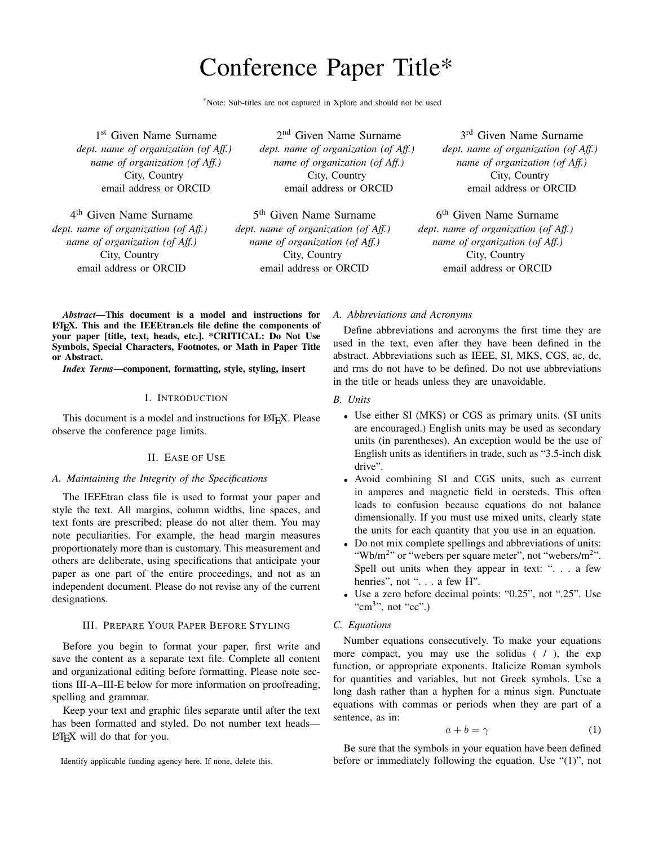# Conference Paper Title\*

\*Note: Sub-titles are not captured in Xplore and should not be used

1 st Given Name Surname *dept. name of organization (of Aff.) name of organization (of Aff.)* City, Country email address or ORCID

4 th Given Name Surname *dept. name of organization (of Aff.) name of organization (of Aff.)* City, Country email address or ORCID

2<sup>nd</sup> Given Name Surname *dept. name of organization (of Aff.) name of organization (of Aff.)* City, Country email address or ORCID

5 th Given Name Surname *dept. name of organization (of Aff.) name of organization (of Aff.)* City, Country email address or ORCID

3<sup>rd</sup> Given Name Surname *dept. name of organization (of Aff.) name of organization (of Aff.)* City, Country email address or ORCID

6 th Given Name Surname *dept. name of organization (of Aff.) name of organization (of Aff.)* City, Country email address or ORCID

*Abstract*—This document is a model and instructions for LATEX. This and the IEEEtran.cls file define the components of your paper [title, text, heads, etc.]. \*CRITICAL: Do Not Use Symbols, Special Characters, Footnotes, or Math in Paper Title or Abstract.

*Index Terms*—component, formatting, style, styling, insert

#### I. INTRODUCTION

This document is a model and instructions for LATEX. Please observe the conference page limits.

# II. EASE OF USE

## *A. Maintaining the Integrity of the Specifications*

The IEEEtran class file is used to format your paper and style the text. All margins, column widths, line spaces, and text fonts are prescribed; please do not alter them. You may note peculiarities. For example, the head margin measures proportionately more than is customary. This measurement and others are deliberate, using specifications that anticipate your paper as one part of the entire proceedings, and not as an independent document. Please do not revise any of the current designations.

## III. PREPARE YOUR PAPER BEFORE STYLING

Before you begin to format your paper, first write and save the content as a separate text file. Complete all content and organizational editing before formatting. Please note sections III-A–III-E below for more information on proofreading, spelling and grammar.

Keep your text and graphic files separate until after the text has been formatted and styled. Do not number text heads— LATEX will do that for you.

Identify applicable funding agency here. If none, delete this.

#### *A. Abbreviations and Acronyms*

Define abbreviations and acronyms the first time they are used in the text, even after they have been defined in the abstract. Abbreviations such as IEEE, SI, MKS, CGS, ac, dc, and rms do not have to be defined. Do not use abbreviations in the title or heads unless they are unavoidable.

- *B. Units*
	- Use either SI (MKS) or CGS as primary units. (SI units are encouraged.) English units may be used as secondary units (in parentheses). An exception would be the use of English units as identifiers in trade, such as "3.5-inch disk drive".
	- Avoid combining SI and CGS units, such as current in amperes and magnetic field in oersteds. This often leads to confusion because equations do not balance dimensionally. If you must use mixed units, clearly state the units for each quantity that you use in an equation.
	- Do not mix complete spellings and abbreviations of units: "Wb/m<sup>2</sup>" or "webers per square meter", not "webers/m<sup>2</sup>". Spell out units when they appear in text: ". . . a few henries", not ". . . a few H".
	- Use a zero before decimal points: "0.25", not ".25". Use "cm<sup>3</sup>", not "cc".)

# *C. Equations*

Number equations consecutively. To make your equations more compact, you may use the solidus  $( / )$ , the exp function, or appropriate exponents. Italicize Roman symbols for quantities and variables, but not Greek symbols. Use a long dash rather than a hyphen for a minus sign. Punctuate equations with commas or periods when they are part of a sentence, as in:

$$
a + b = \gamma \tag{1}
$$

Be sure that the symbols in your equation have been defined before or immediately following the equation. Use "(1)", not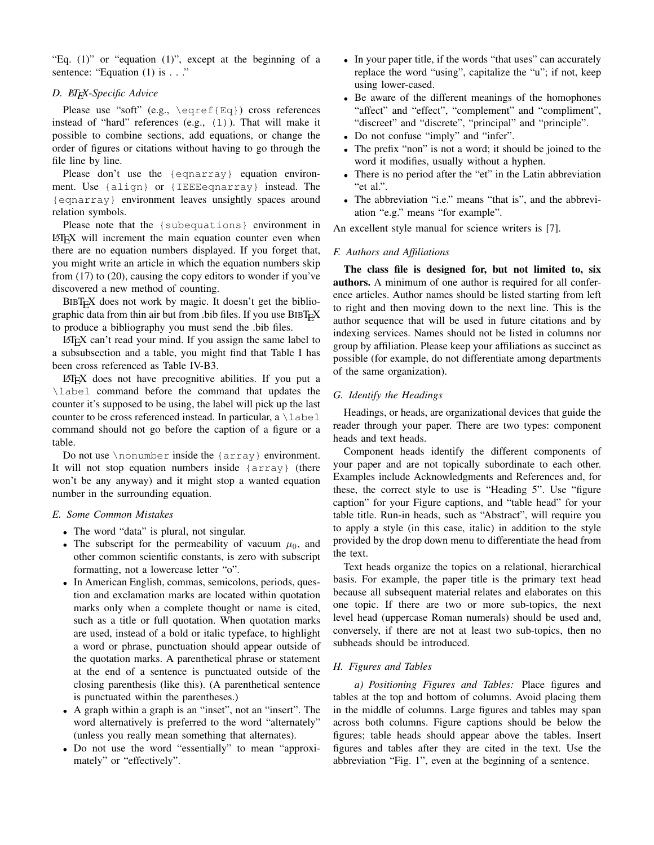"Eq. (1)" or "equation (1)", except at the beginning of a sentence: "Equation (1) is . . ."

## *D. LATEX-Specific Advice*

Please use "soft" (e.g., \eqref{Eq}) cross references instead of "hard" references (e.g., (1)). That will make it possible to combine sections, add equations, or change the order of figures or citations without having to go through the file line by line.

Please don't use the {eqnarray} equation environment. Use {align} or {IEEEeqnarray} instead. The {eqnarray} environment leaves unsightly spaces around relation symbols.

Please note that the {subequations} environment in LAT<sub>EX</sub> will increment the main equation counter even when there are no equation numbers displayed. If you forget that, you might write an article in which the equation numbers skip from (17) to (20), causing the copy editors to wonder if you've discovered a new method of counting.

 $BIBT<sub>F</sub>X$  does not work by magic. It doesn't get the bibliographic data from thin air but from .bib files. If you use  $BIBT<sub>E</sub>X$ to produce a bibliography you must send the .bib files.

LATEX can't read your mind. If you assign the same label to a subsubsection and a table, you might find that Table I has been cross referenced as Table IV-B3.

LATEX does not have precognitive abilities. If you put a \label command before the command that updates the counter it's supposed to be using, the label will pick up the last counter to be cross referenced instead. In particular, a  $\lambda$ label command should not go before the caption of a figure or a table.

Do not use  $\nonumber$  \nonumber inside the {array} environment. It will not stop equation numbers inside {array} (there won't be any anyway) and it might stop a wanted equation number in the surrounding equation.

## *E. Some Common Mistakes*

- The word "data" is plural, not singular.
- The subscript for the permeability of vacuum  $\mu_0$ , and other common scientific constants, is zero with subscript formatting, not a lowercase letter "o".
- In American English, commas, semicolons, periods, question and exclamation marks are located within quotation marks only when a complete thought or name is cited, such as a title or full quotation. When quotation marks are used, instead of a bold or italic typeface, to highlight a word or phrase, punctuation should appear outside of the quotation marks. A parenthetical phrase or statement at the end of a sentence is punctuated outside of the closing parenthesis (like this). (A parenthetical sentence is punctuated within the parentheses.)
- A graph within a graph is an "inset", not an "insert". The word alternatively is preferred to the word "alternately" (unless you really mean something that alternates).
- Do not use the word "essentially" to mean "approximately" or "effectively".
- In your paper title, if the words "that uses" can accurately replace the word "using", capitalize the "u"; if not, keep using lower-cased.
- Be aware of the different meanings of the homophones "affect" and "effect", "complement" and "compliment", "discreet" and "discrete", "principal" and "principle".
- Do not confuse "imply" and "infer".
- The prefix "non" is not a word; it should be joined to the word it modifies, usually without a hyphen.
- There is no period after the "et" in the Latin abbreviation "et al.".
- The abbreviation "i.e." means "that is", and the abbreviation "e.g." means "for example".

An excellent style manual for science writers is [7].

## *F. Authors and Affiliations*

The class file is designed for, but not limited to, six authors. A minimum of one author is required for all conference articles. Author names should be listed starting from left to right and then moving down to the next line. This is the author sequence that will be used in future citations and by indexing services. Names should not be listed in columns nor group by affiliation. Please keep your affiliations as succinct as possible (for example, do not differentiate among departments of the same organization).

## *G. Identify the Headings*

Headings, or heads, are organizational devices that guide the reader through your paper. There are two types: component heads and text heads.

Component heads identify the different components of your paper and are not topically subordinate to each other. Examples include Acknowledgments and References and, for these, the correct style to use is "Heading 5". Use "figure caption" for your Figure captions, and "table head" for your table title. Run-in heads, such as "Abstract", will require you to apply a style (in this case, italic) in addition to the style provided by the drop down menu to differentiate the head from the text.

Text heads organize the topics on a relational, hierarchical basis. For example, the paper title is the primary text head because all subsequent material relates and elaborates on this one topic. If there are two or more sub-topics, the next level head (uppercase Roman numerals) should be used and, conversely, if there are not at least two sub-topics, then no subheads should be introduced.

# *H. Figures and Tables*

*a) Positioning Figures and Tables:* Place figures and tables at the top and bottom of columns. Avoid placing them in the middle of columns. Large figures and tables may span across both columns. Figure captions should be below the figures; table heads should appear above the tables. Insert figures and tables after they are cited in the text. Use the abbreviation "Fig. 1", even at the beginning of a sentence.